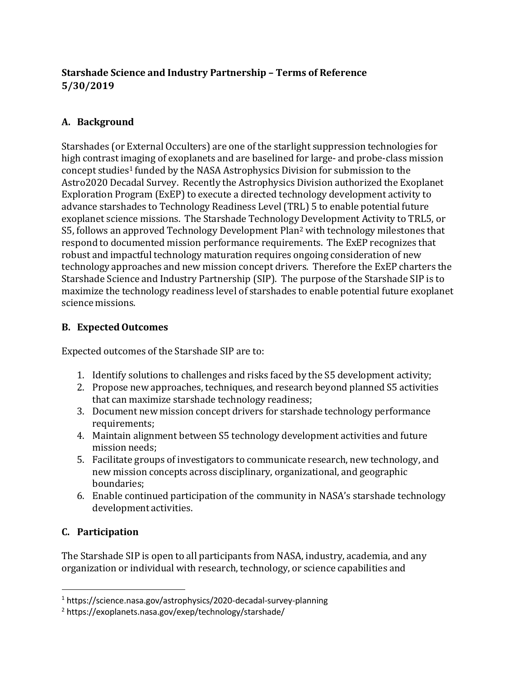## **Starshade Science and Industry Partnership – Terms of Reference 5/30/2019**

### **A. Background**

Starshades (or External Occulters) are one of the starlight suppression technologies for high contrast imaging of exoplanets and are baselined for large- and probe-class mission concept studies<sup>1</sup> funded by the NASA Astrophysics Division for submission to the Astro2020 Decadal Survey. Recently the Astrophysics Division authorized the Exoplanet Exploration Program (ExEP) to execute a directed technology development activity to advance starshades to Technology Readiness Level (TRL) 5 to enable potential future exoplanet science missions. The Starshade Technology Development Activity to TRL5, or S5, follows an approved Technology Development Plan<sup>2</sup> with technology milestones that respond to documented mission performance requirements. The ExEP recognizes that robust and impactful technology maturation requires ongoing consideration of new technology approaches and new mission concept drivers. Therefore the ExEP charters the Starshade Science and Industry Partnership (SIP). The purpose of the Starshade SIP is to maximize the technology readiness level of starshades to enable potential future exoplanet science missions.

#### **B.** Expected Outcomes

Expected outcomes of the Starshade SIP are to:

- 1. Identify solutions to challenges and risks faced by the S5 development activity;
- 2. Propose new approaches, techniques, and research beyond planned S5 activities that can maximize starshade technology readiness;
- 3. Document new mission concept drivers for starshade technology performance requirements;
- 4. Maintain alignment between S5 technology development activities and future mission needs;
- 5. Facilitate groups of investigators to communicate research, new technology, and new mission concepts across disciplinary, organizational, and geographic boundaries;
- 6. Enable continued participation of the community in NASA's starshade technology development activities.

## **C. Participation**

The Starshade SIP is open to all participants from NASA, industry, academia, and any organization or individual with research, technology, or science capabilities and

<sup>1</sup> https://science.nasa.gov/astrophysics/2020-decadal-survey-planning

<sup>2</sup> https://exoplanets.nasa.gov/exep/technology/starshade/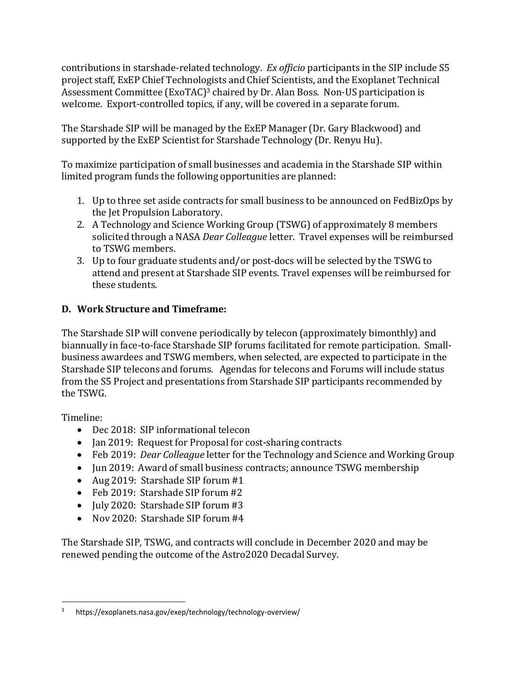contributions in starshade-related technology. *Ex officio* participants in the SIP include S5 project staff, ExEP Chief Technologists and Chief Scientists, and the Exoplanet Technical Assessment Committee (ExoTAC)<sup>3</sup> chaired by Dr. Alan Boss. Non-US participation is welcome. Export-controlled topics, if any, will be covered in a separate forum.

The Starshade SIP will be managed by the ExEP Manager (Dr. Gary Blackwood) and supported by the ExEP Scientist for Starshade Technology (Dr. Renyu Hu).

To maximize participation of small businesses and academia in the Starshade SIP within limited program funds the following opportunities are planned:

- 1. Up to three set aside contracts for small business to be announced on FedBizOps by the Jet Propulsion Laboratory.
- 2. A Technology and Science Working Group (TSWG) of approximately 8 members solicited through a NASA *Dear Colleague* letter. Travel expenses will be reimbursed to TSWG members.
- 3. Up to four graduate students and/or post-docs will be selected by the TSWG to attend and present at Starshade SIP events. Travel expenses will be reimbursed for these students.

# **D. Work Structure and Timeframe:**

The Starshade SIP will convene periodically by telecon (approximately bimonthly) and biannually in face-to-face Starshade SIP forums facilitated for remote participation. Smallbusiness awardees and TSWG members, when selected, are expected to participate in the Starshade SIP telecons and forums. Agendas for telecons and Forums will include status from the S5 Project and presentations from Starshade SIP participants recommended by the TSWG.

Timeline:

- Dec 2018: SIP informational telecon
- Jan 2019: Request for Proposal for cost-sharing contracts
- Feb 2019: *Dear Colleague* letter for the Technology and Science and Working Group
- Jun 2019: Award of small business contracts; announce TSWG membership
- Aug 2019: Starshade SIP forum #1
- Feb 2019: Starshade SIP forum #2
- $\bullet$  July 2020: Starshade SIP forum #3
- Nov 2020: Starshade SIP forum #4

The Starshade SIP, TSWG, and contracts will conclude in December 2020 and may be renewed pending the outcome of the Astro2020 Decadal Survey.

<sup>3</sup>https://exoplanets.nasa.gov/exep/technology/technology-overview/